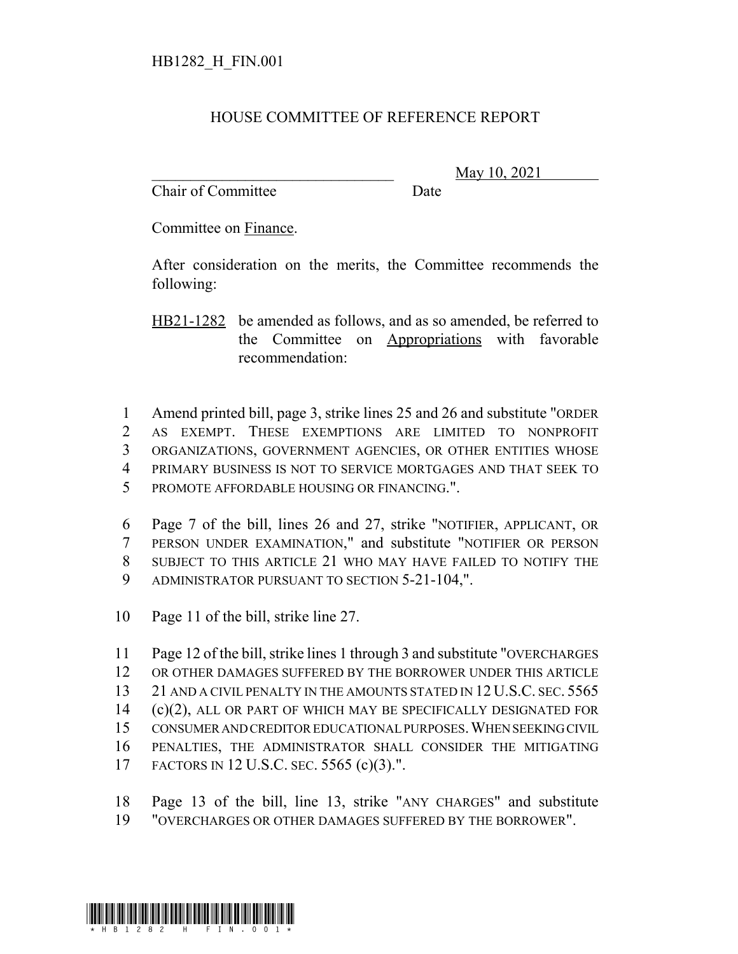## HOUSE COMMITTEE OF REFERENCE REPORT

Chair of Committee Date

\_\_\_\_\_\_\_\_\_\_\_\_\_\_\_\_\_\_\_\_\_\_\_\_\_\_\_\_\_\_\_ May 10, 2021

Committee on Finance.

After consideration on the merits, the Committee recommends the following:

HB21-1282 be amended as follows, and as so amended, be referred to the Committee on Appropriations with favorable recommendation:

 Amend printed bill, page 3, strike lines 25 and 26 and substitute "ORDER AS EXEMPT. THESE EXEMPTIONS ARE LIMITED TO NONPROFIT ORGANIZATIONS, GOVERNMENT AGENCIES, OR OTHER ENTITIES WHOSE PRIMARY BUSINESS IS NOT TO SERVICE MORTGAGES AND THAT SEEK TO PROMOTE AFFORDABLE HOUSING OR FINANCING.".

 Page 7 of the bill, lines 26 and 27, strike "NOTIFIER, APPLICANT, OR PERSON UNDER EXAMINATION," and substitute "NOTIFIER OR PERSON SUBJECT TO THIS ARTICLE 21 WHO MAY HAVE FAILED TO NOTIFY THE ADMINISTRATOR PURSUANT TO SECTION 5-21-104,".

10 Page 11 of the bill, strike line 27.

 Page 12 of the bill, strike lines 1 through 3 and substitute "OVERCHARGES OR OTHER DAMAGES SUFFERED BY THE BORROWER UNDER THIS ARTICLE 13 21 AND A CIVIL PENALTY IN THE AMOUNTS STATED IN 12 U.S.C. SEC. 5565 (c)(2), ALL OR PART OF WHICH MAY BE SPECIFICALLY DESIGNATED FOR CONSUMER AND CREDITOR EDUCATIONAL PURPOSES.WHEN SEEKING CIVIL PENALTIES, THE ADMINISTRATOR SHALL CONSIDER THE MITIGATING FACTORS IN 12 U.S.C. SEC. 5565 (c)(3).".

18 Page 13 of the bill, line 13, strike "ANY CHARGES" and substitute 19 "OVERCHARGES OR OTHER DAMAGES SUFFERED BY THE BORROWER".